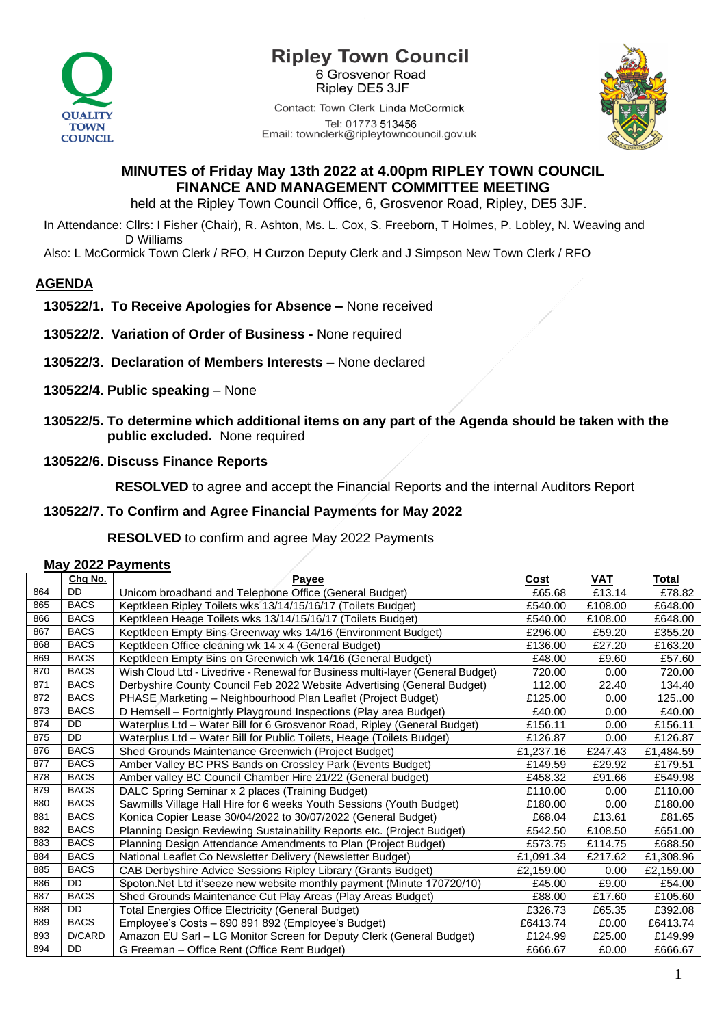

# **Ripley Town Council** 6 Grosvenor Road

Ripley DE5 3JF

Contact: Town Clerk Linda McCormick Tel: 01773 513456 Email: townclerk@ripleytowncouncil.gov.uk



### **MINUTES of Friday May 13th 2022 at 4.00pm RIPLEY TOWN COUNCIL FINANCE AND MANAGEMENT COMMITTEE MEETING**

held at the Ripley Town Council Office, 6, Grosvenor Road, Ripley, DE5 3JF.

In Attendance: Cllrs: I Fisher (Chair), R. Ashton, Ms. L. Cox, S. Freeborn, T Holmes, P. Lobley, N. Weaving and D Williams

Also: L McCormick Town Clerk / RFO, H Curzon Deputy Clerk and J Simpson New Town Clerk / RFO

## **AGENDA**

- **130522/1. To Receive Apologies for Absence –** None received
- **130522/2. Variation of Order of Business -** None required
- **130522/3. Declaration of Members Interests –** None declared
- **130522/4. Public speaking** None
- **130522/5. To determine which additional items on any part of the Agenda should be taken with the public excluded.** None required
- **130522/6. Discuss Finance Reports**

 **RESOLVED** to agree and accept the Financial Reports and the internal Auditors Report

#### **130522/7. To Confirm and Agree Financial Payments for May 2022**

 **RESOLVED** to confirm and agree May 2022 Payments

|  | <b>May 2022 Payments</b> |
|--|--------------------------|
|--|--------------------------|

|     | Chq No.     | Payee                                                                          | Cost      | <b>VAT</b> | Total     |
|-----|-------------|--------------------------------------------------------------------------------|-----------|------------|-----------|
| 864 | <b>DD</b>   | Unicom broadband and Telephone Office (General Budget)                         | £65.68    | £13.14     | £78.82    |
| 865 | <b>BACS</b> | Keptkleen Ripley Toilets wks 13/14/15/16/17 (Toilets Budget)                   | £540.00   | £108.00    | £648.00   |
| 866 | <b>BACS</b> | Keptkleen Heage Toilets wks 13/14/15/16/17 (Toilets Budget)                    | £540.00   | £108.00    | £648.00   |
| 867 | <b>BACS</b> | Keptkleen Empty Bins Greenway wks 14/16 (Environment Budget)                   | £296.00   | £59.20     | £355.20   |
| 868 | <b>BACS</b> | Keptkleen Office cleaning wk 14 x 4 (General Budget)                           | £136.00   | £27.20     | £163.20   |
| 869 | <b>BACS</b> | Keptkleen Empty Bins on Greenwich wk 14/16 (General Budget)                    | £48.00    | £9.60      | £57.60    |
| 870 | <b>BACS</b> | Wish Cloud Ltd - Livedrive - Renewal for Business multi-layer (General Budget) | 720.00    | 0.00       | 720.00    |
| 871 | <b>BACS</b> | Derbyshire County Council Feb 2022 Website Advertising (General Budget)        | 112.00    | 22.40      | 134.40    |
| 872 | <b>BACS</b> | PHASE Marketing – Neighbourhood Plan Leaflet (Project Budget)                  | £125.00   | $0.00\,$   | 12500     |
| 873 | <b>BACS</b> | D Hemsell - Fortnightly Playground Inspections (Play area Budget)              | £40.00    | 0.00       | £40.00    |
| 874 | <b>DD</b>   | Waterplus Ltd - Water Bill for 6 Grosvenor Road, Ripley (General Budget)       | £156.11   | 0.00       | £156.11   |
| 875 | DD.         | Waterplus Ltd - Water Bill for Public Toilets, Heage (Toilets Budget)          | £126.87   | 0.00       | £126.87   |
| 876 | <b>BACS</b> | Shed Grounds Maintenance Greenwich (Project Budget)                            | £1,237.16 | £247.43    | £1,484.59 |
| 877 | <b>BACS</b> | Amber Valley BC PRS Bands on Crossley Park (Events Budget)                     | £149.59   | £29.92     | £179.51   |
| 878 | <b>BACS</b> | Amber valley BC Council Chamber Hire 21/22 (General budget)                    | £458.32   | £91.66     | £549.98   |
| 879 | <b>BACS</b> | DALC Spring Seminar x 2 places (Training Budget)                               | £110.00   | 0.00       | £110.00   |
| 880 | <b>BACS</b> | Sawmills Village Hall Hire for 6 weeks Youth Sessions (Youth Budget)           | £180.00   | 0.00       | £180.00   |
| 881 | <b>BACS</b> | Konica Copier Lease 30/04/2022 to 30/07/2022 (General Budget)                  | £68.04    | £13.61     | £81.65    |
| 882 | <b>BACS</b> | Planning Design Reviewing Sustainability Reports etc. (Project Budget)         | £542.50   | £108.50    | £651.00   |
| 883 | <b>BACS</b> | Planning Design Attendance Amendments to Plan (Project Budget)                 | £573.75   | £114.75    | £688.50   |
| 884 | <b>BACS</b> | National Leaflet Co Newsletter Delivery (Newsletter Budget)                    | £1,091.34 | £217.62    | £1,308.96 |
| 885 | <b>BACS</b> | CAB Derbyshire Advice Sessions Ripley Library (Grants Budget)                  | £2,159.00 | 0.00       | £2,159.00 |
| 886 | <b>DD</b>   | Spoton.Net Ltd it'seeze new website monthly payment (Minute 170720/10)         | £45.00    | £9.00      | £54.00    |
| 887 | <b>BACS</b> | Shed Grounds Maintenance Cut Play Areas (Play Areas Budget)                    | £88.00    | £17.60     | £105.60   |
| 888 | <b>DD</b>   | <b>Total Energies Office Electricity (General Budget)</b>                      | £326.73   | £65.35     | £392.08   |
| 889 | <b>BACS</b> | Employee's Costs - 890 891 892 (Employee's Budget)                             | £6413.74  | £0.00      | £6413.74  |
| 893 | D/CARD      | Amazon EU Sarl – LG Monitor Screen for Deputy Clerk (General Budget)           | £124.99   | £25.00     | £149.99   |
| 894 | DD.         | G Freeman – Office Rent (Office Rent Budget)                                   | £666.67   | £0.00      | £666.67   |